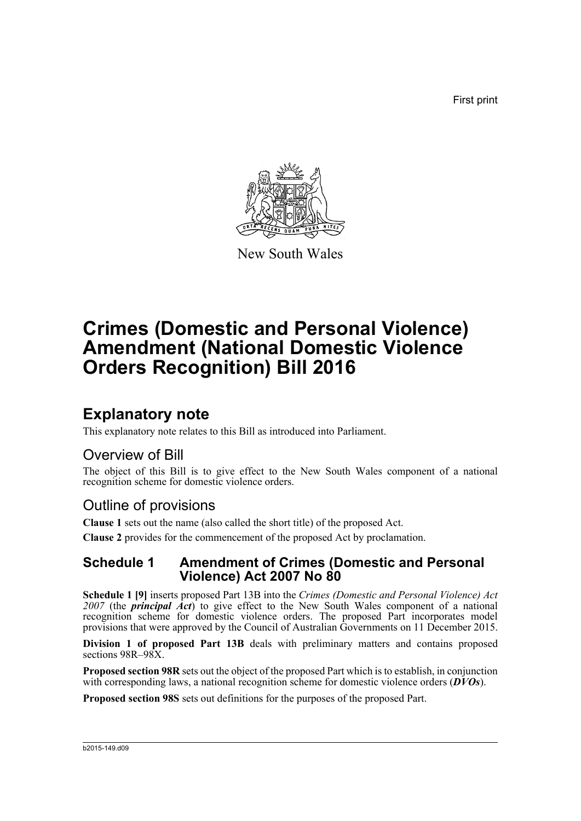First print



New South Wales

# **Crimes (Domestic and Personal Violence) Amendment (National Domestic Violence Orders Recognition) Bill 2016**

## **Explanatory note**

This explanatory note relates to this Bill as introduced into Parliament.

## Overview of Bill

The object of this Bill is to give effect to the New South Wales component of a national recognition scheme for domestic violence orders.

## Outline of provisions

**Clause 1** sets out the name (also called the short title) of the proposed Act.

**Clause 2** provides for the commencement of the proposed Act by proclamation.

## **Schedule 1 Amendment of Crimes (Domestic and Personal Violence) Act 2007 No 80**

**Schedule 1 [9]** inserts proposed Part 13B into the *Crimes (Domestic and Personal Violence) Act 2007* (the *principal Act*) to give effect to the New South Wales component of a national recognition scheme for domestic violence orders. The proposed Part incorporates model provisions that were approved by the Council of Australian Governments on 11 December 2015.

**Division 1 of proposed Part 13B** deals with preliminary matters and contains proposed sections 98R–98X.

**Proposed section 98R** sets out the object of the proposed Part which is to establish, in conjunction with corresponding laws, a national recognition scheme for domestic violence orders (*DVOs*).

**Proposed section 98S** sets out definitions for the purposes of the proposed Part.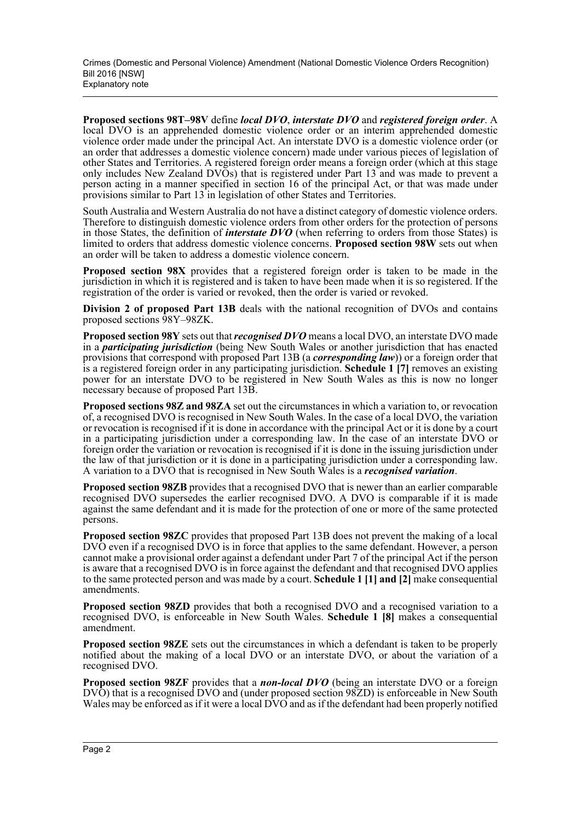**Proposed sections 98T–98V** define *local DVO*, *interstate DVO* and *registered foreign order*. A local DVO is an apprehended domestic violence order or an interim apprehended domestic violence order made under the principal Act. An interstate DVO is a domestic violence order (or an order that addresses a domestic violence concern) made under various pieces of legislation of other States and Territories. A registered foreign order means a foreign order (which at this stage only includes New Zealand DVOs) that is registered under Part 13 and was made to prevent a person acting in a manner specified in section 16 of the principal Act, or that was made under provisions similar to Part 13 in legislation of other States and Territories.

South Australia and Western Australia do not have a distinct category of domestic violence orders. Therefore to distinguish domestic violence orders from other orders for the protection of persons in those States, the definition of *interstate DVO* (when referring to orders from those States) is limited to orders that address domestic violence concerns. **Proposed section 98W** sets out when an order will be taken to address a domestic violence concern.

**Proposed section 98X** provides that a registered foreign order is taken to be made in the jurisdiction in which it is registered and is taken to have been made when it is so registered. If the registration of the order is varied or revoked, then the order is varied or revoked.

**Division 2 of proposed Part 13B** deals with the national recognition of DVOs and contains proposed sections 98Y–98ZK.

**Proposed section 98Y** sets out that *recognised DVO* means a local DVO, an interstate DVO made in a *participating jurisdiction* (being New South Wales or another jurisdiction that has enacted provisions that correspond with proposed Part 13B (a *corresponding law*)) or a foreign order that is a registered foreign order in any participating jurisdiction. **Schedule 1 [7]** removes an existing power for an interstate DVO to be registered in New South Wales as this is now no longer necessary because of proposed Part 13B.

**Proposed sections 98Z and 98ZA** set out the circumstances in which a variation to, or revocation of, a recognised DVO is recognised in New South Wales. In the case of a local DVO, the variation or revocation is recognised if it is done in accordance with the principal Act or it is done by a court in a participating jurisdiction under a corresponding law. In the case of an interstate DVO or foreign order the variation or revocation is recognised if it is done in the issuing jurisdiction under the law of that jurisdiction or it is done in a participating jurisdiction under a corresponding law. A variation to a DVO that is recognised in New South Wales is a *recognised variation*.

**Proposed section 98ZB** provides that a recognised DVO that is newer than an earlier comparable recognised DVO supersedes the earlier recognised DVO. A DVO is comparable if it is made against the same defendant and it is made for the protection of one or more of the same protected persons.

**Proposed section 98ZC** provides that proposed Part 13B does not prevent the making of a local DVO even if a recognised DVO is in force that applies to the same defendant. However, a person cannot make a provisional order against a defendant under Part 7 of the principal Act if the person is aware that a recognised DVO is in force against the defendant and that recognised DVO applies to the same protected person and was made by a court. **Schedule 1 [1] and [2]** make consequential amendments.

**Proposed section 98ZD** provides that both a recognised DVO and a recognised variation to a recognised DVO, is enforceable in New South Wales. **Schedule 1 [8]** makes a consequential amendment.

**Proposed section 98ZE** sets out the circumstances in which a defendant is taken to be properly notified about the making of a local DVO or an interstate DVO, or about the variation of a recognised DVO.

**Proposed section 98ZF** provides that a *non-local DVO* (being an interstate DVO or a foreign DVO) that is a recognised DVO and (under proposed section 98ZD) is enforceable in New South Wales may be enforced as if it were a local DVO and as if the defendant had been properly notified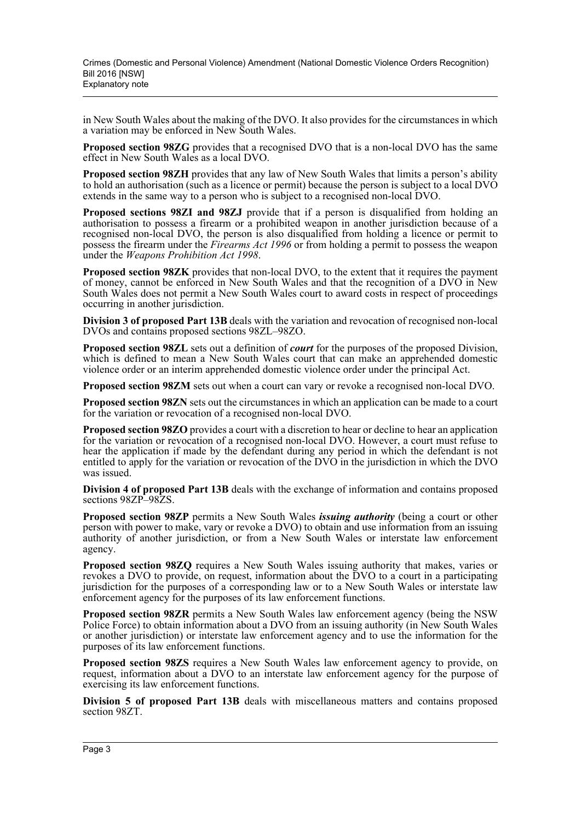in New South Wales about the making of the DVO. It also provides for the circumstances in which a variation may be enforced in New South Wales.

**Proposed section 98ZG** provides that a recognised DVO that is a non-local DVO has the same effect in New South Wales as a local DVO.

**Proposed section 98ZH** provides that any law of New South Wales that limits a person's ability to hold an authorisation (such as a licence or permit) because the person is subject to a local DVO extends in the same way to a person who is subject to a recognised non-local DVO.

**Proposed sections 98ZI and 98ZJ** provide that if a person is disqualified from holding an authorisation to possess a firearm or a prohibited weapon in another jurisdiction because of a recognised non-local DVO, the person is also disqualified from holding a licence or permit to possess the firearm under the *Firearms Act 1996* or from holding a permit to possess the weapon under the *Weapons Prohibition Act 1998*.

**Proposed section 98ZK** provides that non-local DVO, to the extent that it requires the payment of money, cannot be enforced in New South Wales and that the recognition of a DVO in New South Wales does not permit a New South Wales court to award costs in respect of proceedings occurring in another jurisdiction.

**Division 3 of proposed Part 13B** deals with the variation and revocation of recognised non-local DVOs and contains proposed sections 98ZL–98ZO.

**Proposed section 98ZL** sets out a definition of *court* for the purposes of the proposed Division, which is defined to mean a New South Wales court that can make an apprehended domestic violence order or an interim apprehended domestic violence order under the principal Act.

**Proposed section 98ZM** sets out when a court can vary or revoke a recognised non-local DVO.

**Proposed section 98ZN** sets out the circumstances in which an application can be made to a court for the variation or revocation of a recognised non-local DVO.

**Proposed section 98ZO** provides a court with a discretion to hear or decline to hear an application for the variation or revocation of a recognised non-local DVO. However, a court must refuse to hear the application if made by the defendant during any period in which the defendant is not entitled to apply for the variation or revocation of the DVO in the jurisdiction in which the DVO was issued.

**Division 4 of proposed Part 13B** deals with the exchange of information and contains proposed sections 98ZP–98ZS.

**Proposed section 98ZP** permits a New South Wales *issuing authority* (being a court or other person with power to make, vary or revoke a DVO) to obtain and use information from an issuing authority of another jurisdiction, or from a New South Wales or interstate law enforcement agency.

**Proposed section 98ZQ** requires a New South Wales issuing authority that makes, varies or revokes a DVO to provide, on request, information about the DVO to a court in a participating jurisdiction for the purposes of a corresponding law or to a New South Wales or interstate law enforcement agency for the purposes of its law enforcement functions.

**Proposed section 98ZR** permits a New South Wales law enforcement agency (being the NSW Police Force) to obtain information about a DVO from an issuing authority (in New South Wales or another jurisdiction) or interstate law enforcement agency and to use the information for the purposes of its law enforcement functions.

**Proposed section 98ZS** requires a New South Wales law enforcement agency to provide, on request, information about a DVO to an interstate law enforcement agency for the purpose of exercising its law enforcement functions.

**Division 5 of proposed Part 13B** deals with miscellaneous matters and contains proposed section 98ZT.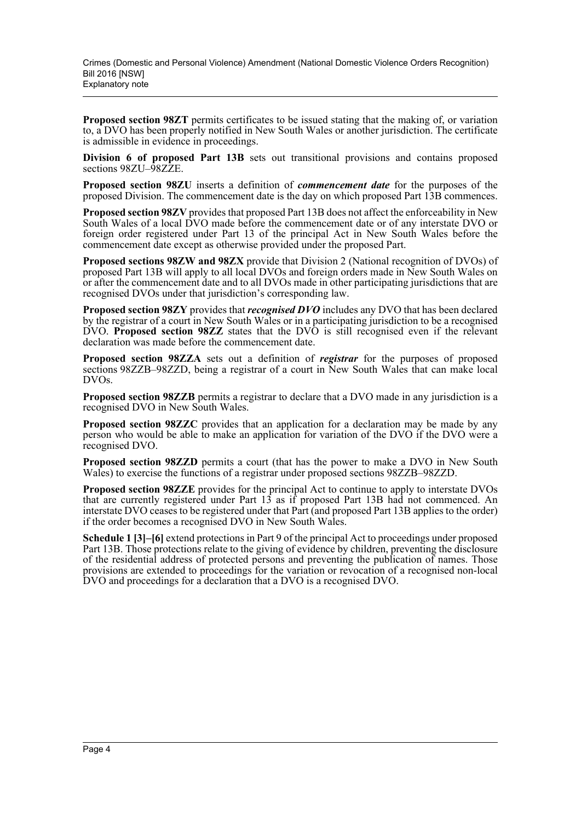**Proposed section 98ZT** permits certificates to be issued stating that the making of, or variation to, a DVO has been properly notified in New South Wales or another jurisdiction. The certificate is admissible in evidence in proceedings.

**Division 6 of proposed Part 13B** sets out transitional provisions and contains proposed sections 98ZU–98ZZE.

**Proposed section 98ZU** inserts a definition of *commencement date* for the purposes of the proposed Division. The commencement date is the day on which proposed Part 13B commences.

**Proposed section 98ZV** provides that proposed Part 13B does not affect the enforceability in New South Wales of a local DVO made before the commencement date or of any interstate DVO or foreign order registered under Part 13 of the principal Act in New South Wales before the commencement date except as otherwise provided under the proposed Part.

**Proposed sections 98ZW and 98ZX** provide that Division 2 (National recognition of DVOs) of proposed Part 13B will apply to all local DVOs and foreign orders made in New South Wales on or after the commencement date and to all DVOs made in other participating jurisdictions that are recognised DVOs under that jurisdiction's corresponding law.

**Proposed section 98ZY** provides that *recognised DVO* includes any DVO that has been declared by the registrar of a court in New South Wales or in a participating jurisdiction to be a recognised DVO. **Proposed section 98ZZ** states that the DVO is still recognised even if the relevant declaration was made before the commencement date.

**Proposed section 98ZZA** sets out a definition of *registrar* for the purposes of proposed sections 98ZZB–98ZZD, being a registrar of a court in New South Wales that can make local DVOs.

**Proposed section 98ZZB** permits a registrar to declare that a DVO made in any jurisdiction is a recognised DVO in New South Wales.

**Proposed section 98ZZC** provides that an application for a declaration may be made by any person who would be able to make an application for variation of the DVO if the DVO were a recognised DVO.

**Proposed section 98ZZD** permits a court (that has the power to make a DVO in New South Wales) to exercise the functions of a registrar under proposed sections 98ZZB–98ZZD.

**Proposed section 98ZZE** provides for the principal Act to continue to apply to interstate DVOs that are currently registered under Part 13 as if proposed Part 13B had not commenced. An interstate DVO ceases to be registered under that Part (and proposed Part 13B applies to the order) if the order becomes a recognised DVO in New South Wales.

**Schedule 1 [3]–[6]** extend protections in Part 9 of the principal Act to proceedings under proposed Part 13B. Those protections relate to the giving of evidence by children, preventing the disclosure of the residential address of protected persons and preventing the publication of names. Those provisions are extended to proceedings for the variation or revocation of a recognised non-local DVO and proceedings for a declaration that a DVO is a recognised DVO.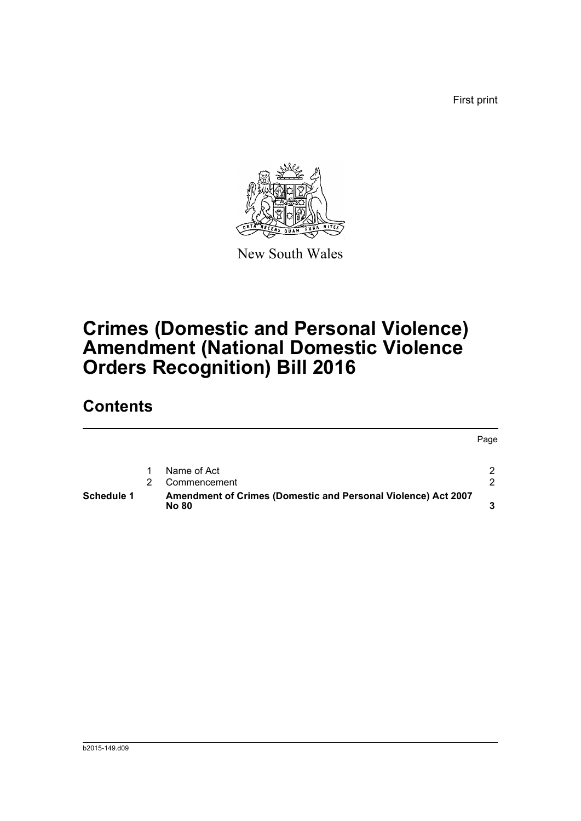First print



New South Wales

# **Crimes (Domestic and Personal Violence) Amendment (National Domestic Violence Orders Recognition) Bill 2016**

## **Contents**

|                   |                                                                        | Page |
|-------------------|------------------------------------------------------------------------|------|
|                   | Name of Act                                                            | 2    |
|                   | Commencement                                                           | າ    |
| <b>Schedule 1</b> | Amendment of Crimes (Domestic and Personal Violence) Act 2007<br>No 80 |      |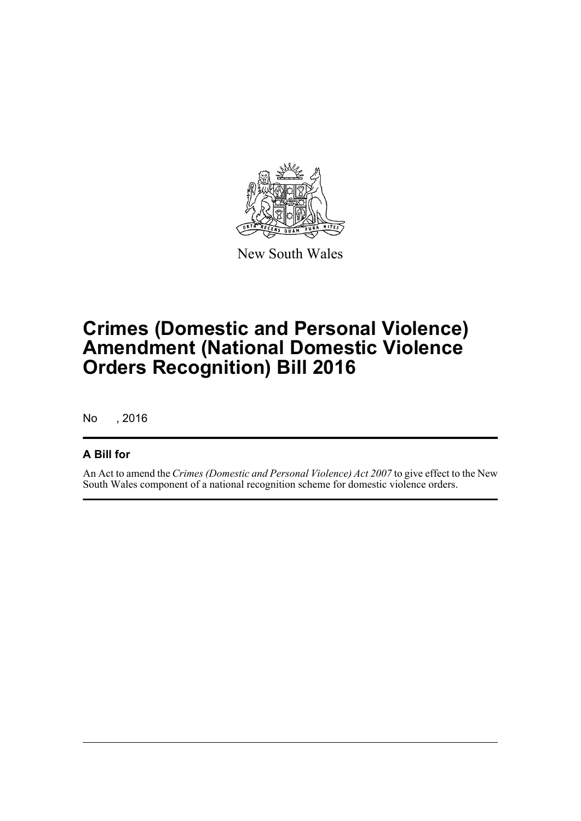

New South Wales

# **Crimes (Domestic and Personal Violence) Amendment (National Domestic Violence Orders Recognition) Bill 2016**

No , 2016

### **A Bill for**

An Act to amend the *Crimes (Domestic and Personal Violence) Act 2007* to give effect to the New South Wales component of a national recognition scheme for domestic violence orders.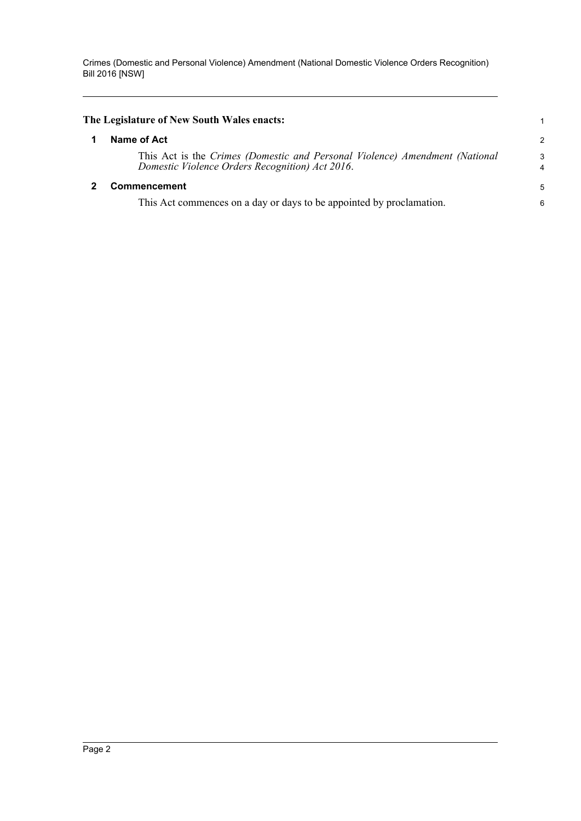<span id="page-6-1"></span><span id="page-6-0"></span>

| The Legislature of New South Wales enacts: |                                                                                                                                |                     |  |  |  |
|--------------------------------------------|--------------------------------------------------------------------------------------------------------------------------------|---------------------|--|--|--|
|                                            | Name of Act                                                                                                                    | $\overline{c}$      |  |  |  |
|                                            | This Act is the Crimes (Domestic and Personal Violence) Amendment (National<br>Domestic Violence Orders Recognition) Act 2016. | 3<br>$\overline{4}$ |  |  |  |
|                                            | Commencement                                                                                                                   | 5                   |  |  |  |
|                                            | This Act commences on a day or days to be appointed by proclamation.                                                           | 6                   |  |  |  |
|                                            |                                                                                                                                |                     |  |  |  |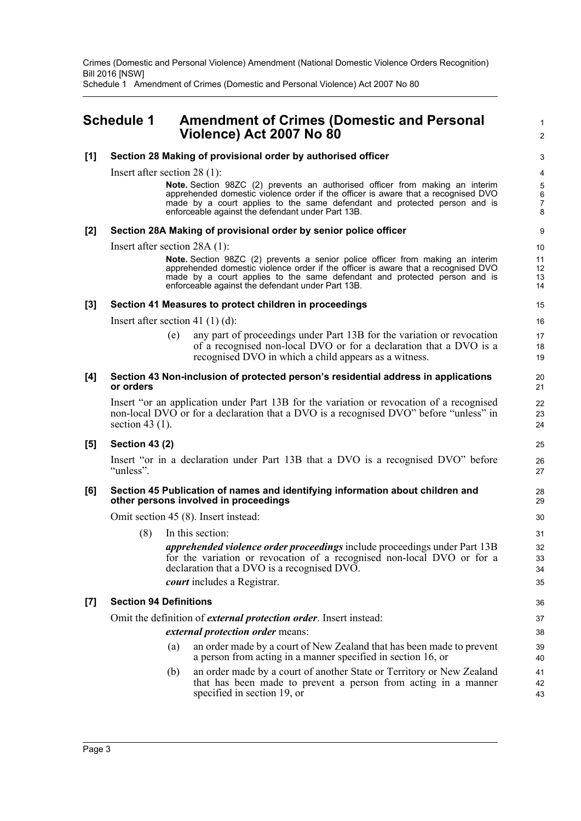Schedule 1 Amendment of Crimes (Domestic and Personal Violence) Act 2007 No 80

## <span id="page-7-0"></span>**Schedule 1 Amendment of Crimes (Domestic and Personal Violence) Act 2007 No 80**

#### **[1] Section 28 Making of provisional order by authorised officer**

Insert after section 28 (1):

**Note.** Section 98ZC (2) prevents an authorised officer from making an interim apprehended domestic violence order if the officer is aware that a recognised DVO made by a court applies to the same defendant and protected person and is enforceable against the defendant under Part 13B.

1  $\mathcal{L}$ 

#### **[2] Section 28A Making of provisional order by senior police officer**

Insert after section 28A (1):

**Note.** Section 98ZC (2) prevents a senior police officer from making an interim apprehended domestic violence order if the officer is aware that a recognised DVO made by a court applies to the same defendant and protected person and is enforceable against the defendant under Part 13B.

#### **[3] Section 41 Measures to protect children in proceedings**

Insert after section 41 (1) (d):

any part of proceedings under Part 13B for the variation or revocation of a recognised non-local DVO or for a declaration that a DVO is a recognised DVO in which a child appears as a witness.

#### **[4] Section 43 Non-inclusion of protected person's residential address in applications or orders**

Insert "or an application under Part 13B for the variation or revocation of a recognised non-local DVO or for a declaration that a DVO is a recognised DVO" before "unless" in section 43 $(1)$ .

#### **[5] Section 43 (2)**

Insert "or in a declaration under Part 13B that a DVO is a recognised DVO" before "unless".

#### **[6] Section 45 Publication of names and identifying information about children and other persons involved in proceedings**

Omit section 45 (8). Insert instead:

(8) In this section: *apprehended violence order proceedings* include proceedings under Part 13B for the variation or revocation of a recognised non-local DVO or for a declaration that a DVO is a recognised DVO. *court* includes a Registrar.

#### **[7] Section 94 Definitions**

Omit the definition of *external protection order*. Insert instead:

#### *external protection order* means:

- (a) an order made by a court of New Zealand that has been made to prevent a person from acting in a manner specified in section 16, or
- (b) an order made by a court of another State or Territory or New Zealand that has been made to prevent a person from acting in a manner specified in section 19, or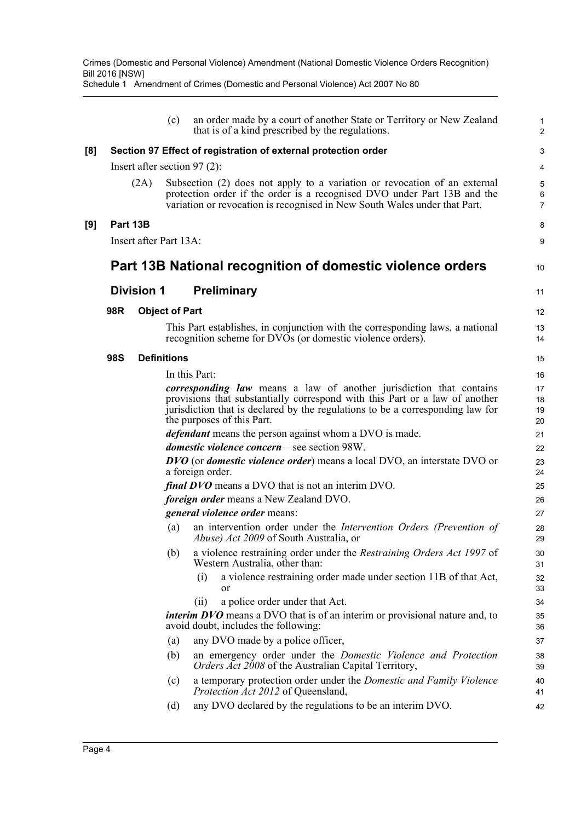|     |            |                        | (c)                   | an order made by a court of another State or Territory or New Zealand<br>that is of a kind prescribed by the regulations.                                                                                                                                                 | $\mathbf{1}$<br>$\overline{2}$ |
|-----|------------|------------------------|-----------------------|---------------------------------------------------------------------------------------------------------------------------------------------------------------------------------------------------------------------------------------------------------------------------|--------------------------------|
| [8] |            |                        |                       | Section 97 Effect of registration of external protection order                                                                                                                                                                                                            | 3                              |
|     |            |                        |                       | Insert after section 97 $(2)$ :                                                                                                                                                                                                                                           | 4                              |
|     |            | (2A)                   |                       | Subsection (2) does not apply to a variation or revocation of an external<br>protection order if the order is a recognised DVO under Part 13B and the<br>variation or revocation is recognised in New South Wales under that Part.                                        | 5<br>6<br>$\overline{7}$       |
| [9] | Part 13B   |                        |                       |                                                                                                                                                                                                                                                                           | 8                              |
|     |            | Insert after Part 13A: |                       |                                                                                                                                                                                                                                                                           | 9                              |
|     |            |                        |                       | Part 13B National recognition of domestic violence orders                                                                                                                                                                                                                 | 10                             |
|     |            | <b>Division 1</b>      |                       | <b>Preliminary</b>                                                                                                                                                                                                                                                        | 11                             |
|     | 98R        |                        | <b>Object of Part</b> |                                                                                                                                                                                                                                                                           | 12                             |
|     |            |                        |                       | This Part establishes, in conjunction with the corresponding laws, a national<br>recognition scheme for DVOs (or domestic violence orders).                                                                                                                               | 13<br>14                       |
|     | <b>98S</b> |                        | <b>Definitions</b>    |                                                                                                                                                                                                                                                                           | 15                             |
|     |            |                        |                       | In this Part:                                                                                                                                                                                                                                                             | 16                             |
|     |            |                        |                       | <i>corresponding law</i> means a law of another jurisdiction that contains<br>provisions that substantially correspond with this Part or a law of another<br>jurisdiction that is declared by the regulations to be a corresponding law for<br>the purposes of this Part. | 17<br>18<br>19<br>20           |
|     |            |                        |                       | <i>defendant</i> means the person against whom a DVO is made.                                                                                                                                                                                                             | 21                             |
|     |            |                        |                       | domestic violence concern-see section 98W.                                                                                                                                                                                                                                | 22                             |
|     |            |                        |                       | <b>DVO</b> (or <i>domestic violence order</i> ) means a local DVO, an interstate DVO or<br>a foreign order.                                                                                                                                                               | 23<br>24                       |
|     |            |                        |                       | <i>final DVO</i> means a DVO that is not an interim DVO.                                                                                                                                                                                                                  | 25                             |
|     |            |                        |                       | <i>foreign order</i> means a New Zealand DVO.                                                                                                                                                                                                                             | 26                             |
|     |            |                        |                       | general violence order means:                                                                                                                                                                                                                                             | 27                             |
|     |            |                        | (a)                   | an intervention order under the Intervention Orders (Prevention of<br><i>Abuse) Act 2009</i> of South Australia, or                                                                                                                                                       | 28<br>29                       |
|     |            |                        | (b)                   | a violence restraining order under the Restraining Orders Act 1997 of<br>Western Australia, other than:                                                                                                                                                                   | 30<br>31                       |
|     |            |                        |                       | a violence restraining order made under section 11B of that Act,<br>(i)<br>or                                                                                                                                                                                             | 32<br>33                       |
|     |            |                        |                       | a police order under that Act.<br>(i)                                                                                                                                                                                                                                     | 34                             |
|     |            |                        |                       | <i>interim DVO</i> means a DVO that is of an interim or provisional nature and, to<br>avoid doubt, includes the following:                                                                                                                                                | 35<br>36                       |
|     |            |                        | (a)                   | any DVO made by a police officer,                                                                                                                                                                                                                                         | 37                             |
|     |            |                        | (b)                   | an emergency order under the Domestic Violence and Protection<br>Orders Act 2008 of the Australian Capital Territory,                                                                                                                                                     | 38<br>39                       |
|     |            |                        | (c)                   | a temporary protection order under the Domestic and Family Violence<br>Protection Act 2012 of Queensland,                                                                                                                                                                 | 40<br>41                       |
|     |            |                        | (d)                   | any DVO declared by the regulations to be an interim DVO.                                                                                                                                                                                                                 | 42                             |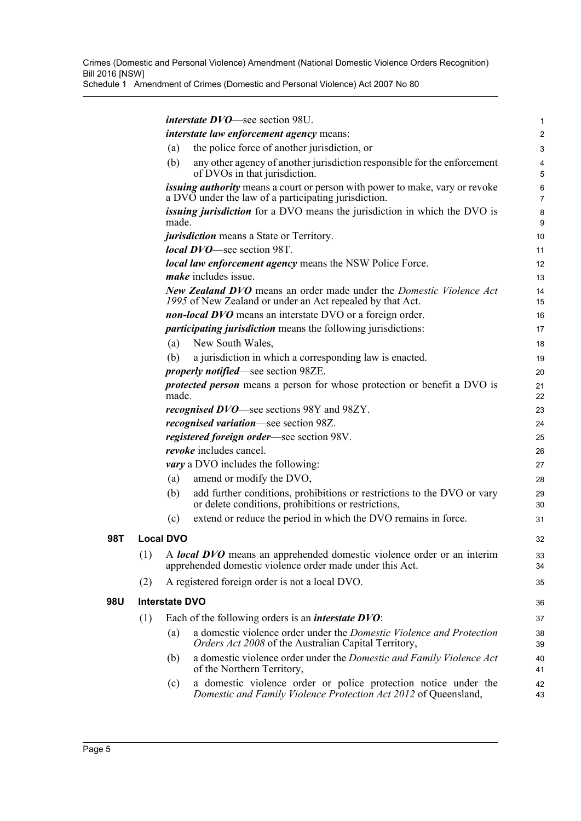|     |     |                       | <i>interstate DVO</i> —see section 98U.                                                                                                        | 1                   |
|-----|-----|-----------------------|------------------------------------------------------------------------------------------------------------------------------------------------|---------------------|
|     |     |                       | <i>interstate law enforcement agency means:</i>                                                                                                | $\overline{a}$      |
|     |     | (a)                   | the police force of another jurisdiction, or                                                                                                   | 3                   |
|     |     | (b)                   | any other agency of another jurisdiction responsible for the enforcement<br>of DVOs in that jurisdiction.                                      | 4<br>5              |
|     |     |                       | issuing authority means a court or person with power to make, vary or revoke<br>a DVO under the law of a participating jurisdiction.           | 6<br>$\overline{7}$ |
|     |     | made.                 | <i>issuing jurisdiction</i> for a DVO means the jurisdiction in which the DVO is                                                               | 8<br>9              |
|     |     |                       | <i>jurisdiction</i> means a State or Territory.                                                                                                | 10                  |
|     |     |                       | <i>local DVO</i> —see section 98T.                                                                                                             | 11                  |
|     |     |                       | local law enforcement agency means the NSW Police Force.                                                                                       | 12                  |
|     |     |                       | <i>make</i> includes issue.                                                                                                                    | 13                  |
|     |     |                       | <b>New Zealand DVO</b> means an order made under the <i>Domestic Violence Act</i><br>1995 of New Zealand or under an Act repealed by that Act. | 14<br>15            |
|     |     |                       | non-local DVO means an interstate DVO or a foreign order.                                                                                      | 16                  |
|     |     |                       | <i>participating jurisdiction</i> means the following jurisdictions:                                                                           | 17                  |
|     |     | (a)                   | New South Wales,                                                                                                                               | 18                  |
|     |     | (b)                   | a jurisdiction in which a corresponding law is enacted.                                                                                        | 19                  |
|     |     |                       | <i>properly notified</i> —see section 98ZE.                                                                                                    | 20                  |
|     |     | made.                 | <i>protected person</i> means a person for whose protection or benefit a DVO is                                                                | 21<br>22            |
|     |     |                       | <i>recognised DVO</i> —see sections 98Y and 98ZY.                                                                                              | 23                  |
|     |     |                       | <i>recognised variation</i> —see section 98Z.                                                                                                  | 24                  |
|     |     |                       | registered foreign order-see section 98V.                                                                                                      | 25                  |
|     |     |                       | revoke includes cancel.                                                                                                                        | 26                  |
|     |     |                       | <i>vary</i> a DVO includes the following:                                                                                                      | 27                  |
|     |     | (a)                   | amend or modify the DVO,                                                                                                                       | 28                  |
|     |     | (b)                   | add further conditions, prohibitions or restrictions to the DVO or vary<br>or delete conditions, prohibitions or restrictions,                 | 29<br>30            |
|     |     | (c)                   | extend or reduce the period in which the DVO remains in force.                                                                                 | 31                  |
| 98T |     | <b>Local DVO</b>      |                                                                                                                                                | 32                  |
|     | (1) |                       | A local DVO means an apprehended domestic violence order or an interim<br>apprehended domestic violence order made under this Act.             | 33<br>34            |
|     | (2) |                       | A registered foreign order is not a local DVO.                                                                                                 | 35                  |
| 98U |     | <b>Interstate DVO</b> |                                                                                                                                                | 36                  |
|     | (1) |                       | Each of the following orders is an <i>interstate DVO</i> :                                                                                     | 37                  |
|     |     | (a)                   | a domestic violence order under the <i>Domestic Violence and Protection</i><br>Orders Act 2008 of the Australian Capital Territory,            | 38<br>39            |
|     |     | (b)                   | a domestic violence order under the <i>Domestic and Family Violence Act</i><br>of the Northern Territory,                                      | 40<br>41            |
|     |     | (c)                   | a domestic violence order or police protection notice under the<br>Domestic and Family Violence Protection Act 2012 of Queensland,             | 42<br>43            |
|     |     |                       |                                                                                                                                                |                     |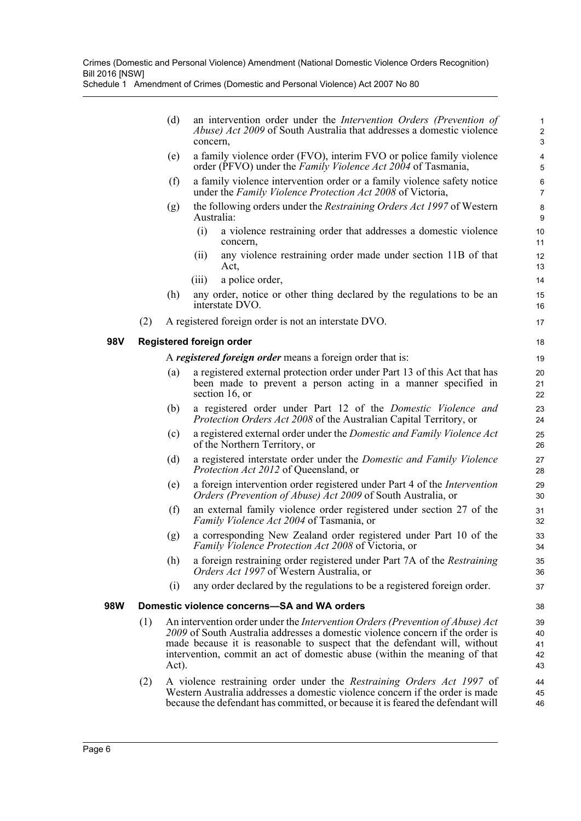|            |     | (d)   | an intervention order under the <i>Intervention Orders (Prevention of</i><br><i>Abuse) Act 2009</i> of South Australia that addresses a domestic violence<br>concern,                                                                                                                                                           | $\mathbf{1}$<br>$\overline{c}$<br>3       |
|------------|-----|-------|---------------------------------------------------------------------------------------------------------------------------------------------------------------------------------------------------------------------------------------------------------------------------------------------------------------------------------|-------------------------------------------|
|            |     | (e)   | a family violence order (FVO), interim FVO or police family violence<br>order (PFVO) under the Family Violence Act 2004 of Tasmania,                                                                                                                                                                                            | $\overline{\mathbf{4}}$<br>$\overline{5}$ |
|            |     | (f)   | a family violence intervention order or a family violence safety notice<br>under the Family Violence Protection Act 2008 of Victoria,                                                                                                                                                                                           | 6<br>$\overline{7}$                       |
|            |     | (g)   | the following orders under the <i>Restraining Orders Act 1997</i> of Western<br>Australia:                                                                                                                                                                                                                                      | 8<br>9                                    |
|            |     |       | a violence restraining order that addresses a domestic violence<br>(i)<br>concern,                                                                                                                                                                                                                                              | 10<br>11                                  |
|            |     |       | any violence restraining order made under section 11B of that<br>(11)<br>Act,                                                                                                                                                                                                                                                   | 12<br>13                                  |
|            |     |       | a police order,<br>(iii)                                                                                                                                                                                                                                                                                                        | 14                                        |
|            |     | (h)   | any order, notice or other thing declared by the regulations to be an<br>interstate DVO.                                                                                                                                                                                                                                        | 15<br>16                                  |
|            | (2) |       | A registered foreign order is not an interstate DVO.                                                                                                                                                                                                                                                                            | 17                                        |
| <b>98V</b> |     |       | <b>Registered foreign order</b>                                                                                                                                                                                                                                                                                                 | 18                                        |
|            |     |       | A registered foreign order means a foreign order that is:                                                                                                                                                                                                                                                                       | 19                                        |
|            |     | (a)   | a registered external protection order under Part 13 of this Act that has<br>been made to prevent a person acting in a manner specified in<br>section 16, or                                                                                                                                                                    | 20<br>21<br>22                            |
|            |     | (b)   | a registered order under Part 12 of the <i>Domestic Violence and</i><br><i>Protection Orders Act 2008</i> of the Australian Capital Territory, or                                                                                                                                                                               | 23<br>24                                  |
|            |     | (c)   | a registered external order under the <i>Domestic and Family Violence Act</i><br>of the Northern Territory, or                                                                                                                                                                                                                  | 25<br>26                                  |
|            |     | (d)   | a registered interstate order under the Domestic and Family Violence<br><i>Protection Act 2012</i> of Queensland, or                                                                                                                                                                                                            | 27<br>28                                  |
|            |     | (e)   | a foreign intervention order registered under Part 4 of the <i>Intervention</i><br><i>Orders (Prevention of Abuse) Act 2009</i> of South Australia, or                                                                                                                                                                          | 29<br>30                                  |
|            |     | (f)   | an external family violence order registered under section 27 of the<br>Family Violence Act 2004 of Tasmania, or                                                                                                                                                                                                                | 31<br>32                                  |
|            |     | (g)   | a corresponding New Zealand order registered under Part 10 of the<br><i>Family Violence Protection Act 2008</i> of Victoria, or                                                                                                                                                                                                 | 33<br>34                                  |
|            |     | (h)   | a foreign restraining order registered under Part 7A of the Restraining<br><i>Orders Act 1997</i> of Western Australia, or                                                                                                                                                                                                      | 35<br>36                                  |
|            |     | (i)   | any order declared by the regulations to be a registered foreign order.                                                                                                                                                                                                                                                         | 37                                        |
| 98W        |     |       | Domestic violence concerns-SA and WA orders                                                                                                                                                                                                                                                                                     | 38                                        |
|            | (1) | Act). | An intervention order under the <i>Intervention Orders (Prevention of Abuse) Act</i><br>2009 of South Australia addresses a domestic violence concern if the order is<br>made because it is reasonable to suspect that the defendant will, without<br>intervention, commit an act of domestic abuse (within the meaning of that | 39<br>40<br>41<br>42<br>43                |
|            | (2) |       | A violence restraining order under the Restraining Orders Act 1997 of<br>Western Australia addresses a domestic violence concern if the order is made<br>because the defendant has committed, or because it is feared the defendant will                                                                                        | 44<br>45<br>46                            |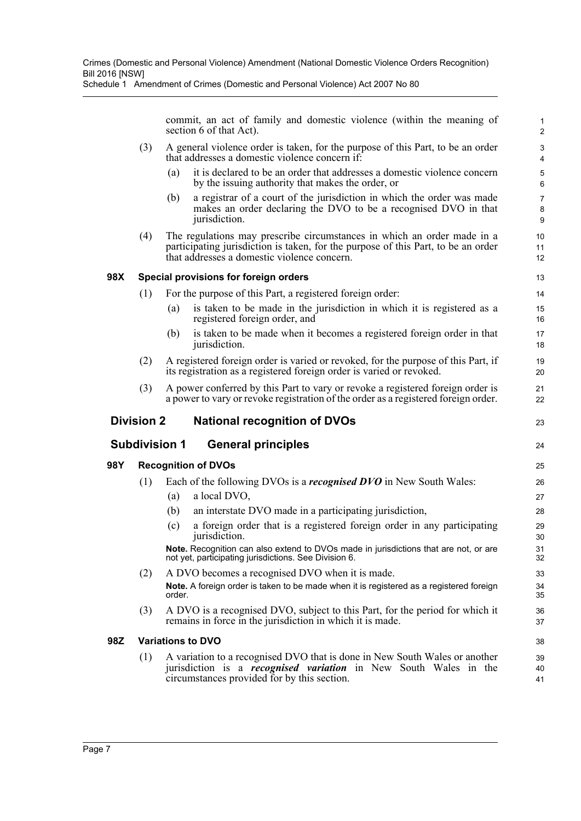commit, an act of family and domestic violence (within the meaning of section 6 of that Act).

23

24

- (3) A general violence order is taken, for the purpose of this Part, to be an order that addresses a domestic violence concern if:
	- (a) it is declared to be an order that addresses a domestic violence concern by the issuing authority that makes the order, or
	- (b) a registrar of a court of the jurisdiction in which the order was made makes an order declaring the DVO to be a recognised DVO in that jurisdiction.
- (4) The regulations may prescribe circumstances in which an order made in a participating jurisdiction is taken, for the purpose of this Part, to be an order that addresses a domestic violence concern.

#### **98X Special provisions for foreign orders**

- (1) For the purpose of this Part, a registered foreign order:
	- (a) is taken to be made in the jurisdiction in which it is registered as a registered foreign order, and
	- (b) is taken to be made when it becomes a registered foreign order in that jurisdiction.
- (2) A registered foreign order is varied or revoked, for the purpose of this Part, if its registration as a registered foreign order is varied or revoked.
- (3) A power conferred by this Part to vary or revoke a registered foreign order is a power to vary or revoke registration of the order as a registered foreign order.

#### **Division 2 National recognition of DVOs**

### **Subdivision 1 General principles**

#### **98Y Recognition of DVOs**

- (1) Each of the following DVOs is a *recognised DVO* in New South Wales:
	- (a) a local DVO,
	- (b) an interstate DVO made in a participating jurisdiction,
	- (c) a foreign order that is a registered foreign order in any participating jurisdiction.

**Note.** Recognition can also extend to DVOs made in jurisdictions that are not, or are not yet, participating jurisdictions. See Division 6.

- (2) A DVO becomes a recognised DVO when it is made. **Note.** A foreign order is taken to be made when it is registered as a registered foreign order.
- (3) A DVO is a recognised DVO, subject to this Part, for the period for which it remains in force in the jurisdiction in which it is made.

#### **98Z Variations to DVO**

(1) A variation to a recognised DVO that is done in New South Wales or another jurisdiction is a *recognised variation* in New South Wales in the circumstances provided for by this section.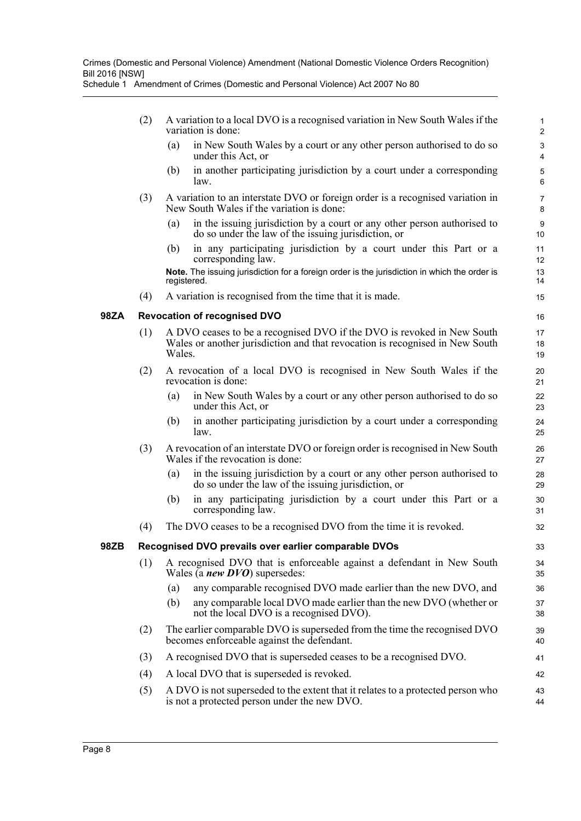- (2) A variation to a local DVO is a recognised variation in New South Wales if the variation is done:
	- (a) in New South Wales by a court or any other person authorised to do so under this Act, or

- (b) in another participating jurisdiction by a court under a corresponding law.
- (3) A variation to an interstate DVO or foreign order is a recognised variation in New South Wales if the variation is done:
	- (a) in the issuing jurisdiction by a court or any other person authorised to do so under the law of the issuing jurisdiction, or
	- (b) in any participating jurisdiction by a court under this Part or a corresponding law.

**Note.** The issuing jurisdiction for a foreign order is the jurisdiction in which the order is registered.

(4) A variation is recognised from the time that it is made.

#### **98ZA Revocation of recognised DVO**

- (1) A DVO ceases to be a recognised DVO if the DVO is revoked in New South Wales or another jurisdiction and that revocation is recognised in New South Wales.
- (2) A revocation of a local DVO is recognised in New South Wales if the revocation is done:
	- (a) in New South Wales by a court or any other person authorised to do so under this Act, or
	- (b) in another participating jurisdiction by a court under a corresponding law.
- (3) A revocation of an interstate DVO or foreign order is recognised in New South Wales if the revocation is done:
	- (a) in the issuing jurisdiction by a court or any other person authorised to do so under the law of the issuing jurisdiction, or
	- (b) in any participating jurisdiction by a court under this Part or a corresponding law.
- (4) The DVO ceases to be a recognised DVO from the time it is revoked.

#### **98ZB Recognised DVO prevails over earlier comparable DVOs**

- (1) A recognised DVO that is enforceable against a defendant in New South Wales (a *new DVO*) supersedes:
	- (a) any comparable recognised DVO made earlier than the new DVO, and
	- (b) any comparable local DVO made earlier than the new DVO (whether or not the local DVO is a recognised DVO).
- (2) The earlier comparable DVO is superseded from the time the recognised DVO becomes enforceable against the defendant.
- (3) A recognised DVO that is superseded ceases to be a recognised DVO.
- (4) A local DVO that is superseded is revoked.
- (5) A DVO is not superseded to the extent that it relates to a protected person who is not a protected person under the new DVO.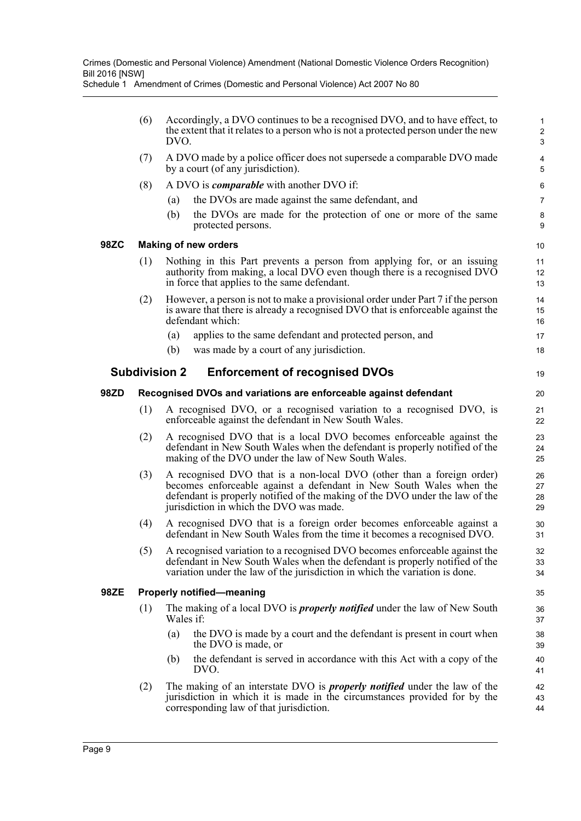|      | (6) | DVO.                 | Accordingly, a DVO continues to be a recognised DVO, and to have effect, to<br>the extent that it relates to a person who is not a protected person under the new                                                                                                       | $\mathbf{1}$<br>$\overline{2}$<br>$\mathsf 3$ |
|------|-----|----------------------|-------------------------------------------------------------------------------------------------------------------------------------------------------------------------------------------------------------------------------------------------------------------------|-----------------------------------------------|
|      | (7) |                      | A DVO made by a police officer does not supersede a comparable DVO made<br>by a court (of any jurisdiction).                                                                                                                                                            | 4<br>5                                        |
|      | (8) |                      | A DVO is <i>comparable</i> with another DVO if:                                                                                                                                                                                                                         | 6                                             |
|      |     | (a)                  | the DVOs are made against the same defendant, and                                                                                                                                                                                                                       | $\overline{7}$                                |
|      |     | (b)                  | the DVOs are made for the protection of one or more of the same<br>protected persons.                                                                                                                                                                                   | 8<br>9                                        |
| 98ZC |     |                      | <b>Making of new orders</b>                                                                                                                                                                                                                                             | 10                                            |
|      | (1) |                      | Nothing in this Part prevents a person from applying for, or an issuing<br>authority from making, a local DVO even though there is a recognised DVO<br>in force that applies to the same defendant.                                                                     | 11<br>12<br>13                                |
|      | (2) |                      | However, a person is not to make a provisional order under Part 7 if the person<br>is aware that there is already a recognised DVO that is enforceable against the<br>defendant which:                                                                                  | 14<br>15<br>16                                |
|      |     | (a)                  | applies to the same defendant and protected person, and                                                                                                                                                                                                                 | 17                                            |
|      |     | (b)                  | was made by a court of any jurisdiction.                                                                                                                                                                                                                                | 18                                            |
|      |     | <b>Subdivision 2</b> | <b>Enforcement of recognised DVOs</b>                                                                                                                                                                                                                                   | 19                                            |
| 98ZD |     |                      | Recognised DVOs and variations are enforceable against defendant                                                                                                                                                                                                        | 20                                            |
|      | (1) |                      | A recognised DVO, or a recognised variation to a recognised DVO, is<br>enforceable against the defendant in New South Wales.                                                                                                                                            | 21<br>22                                      |
|      | (2) |                      | A recognised DVO that is a local DVO becomes enforceable against the<br>defendant in New South Wales when the defendant is properly notified of the<br>making of the DVO under the law of New South Wales.                                                              | 23<br>24<br>25                                |
|      | (3) |                      | A recognised DVO that is a non-local DVO (other than a foreign order)<br>becomes enforceable against a defendant in New South Wales when the<br>defendant is properly notified of the making of the DVO under the law of the<br>jurisdiction in which the DVO was made. | 26<br>27<br>28<br>29                          |
|      | (4) |                      | A recognised DVO that is a foreign order becomes enforceable against a<br>defendant in New South Wales from the time it becomes a recognised DVO.                                                                                                                       | 30<br>31                                      |
|      | (5) |                      | A recognised variation to a recognised DVO becomes enforceable against the<br>defendant in New South Wales when the defendant is properly notified of the<br>variation under the law of the jurisdiction in which the variation is done.                                | 32<br>33<br>34                                |
| 98ZE |     |                      | <b>Properly notified-meaning</b>                                                                                                                                                                                                                                        | 35                                            |
|      | (1) | Wales if:            | The making of a local DVO is <i>properly notified</i> under the law of New South                                                                                                                                                                                        | 36<br>37                                      |
|      |     | (a)                  | the DVO is made by a court and the defendant is present in court when<br>the DVO is made, or                                                                                                                                                                            | 38<br>39                                      |
|      |     | (b)                  | the defendant is served in accordance with this Act with a copy of the<br>DVO.                                                                                                                                                                                          | 40<br>41                                      |
|      | (2) |                      | The making of an interstate DVO is <i>properly notified</i> under the law of the<br>jurisdiction in which it is made in the circumstances provided for by the<br>corresponding law of that jurisdiction.                                                                | 42<br>43<br>44                                |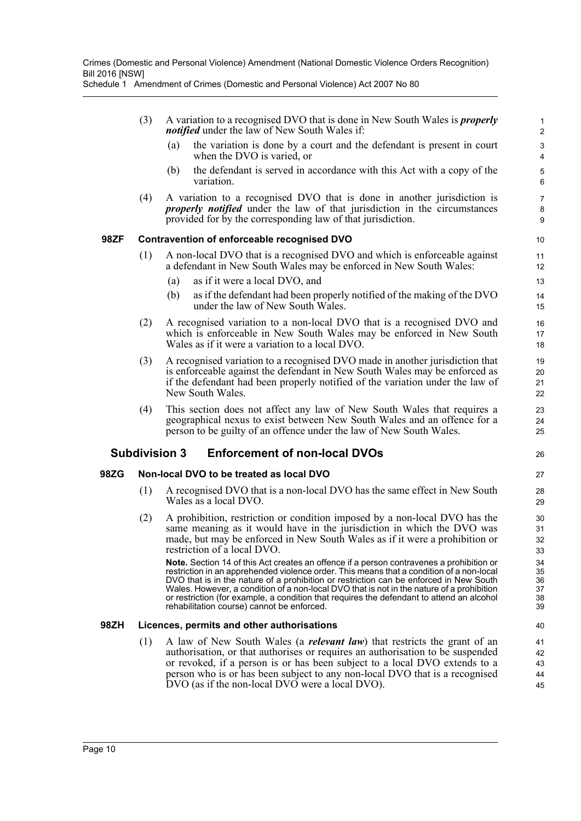- (3) A variation to a recognised DVO that is done in New South Wales is *properly notified* under the law of New South Wales if:
	- (a) the variation is done by a court and the defendant is present in court when the DVO is varied, or

- (b) the defendant is served in accordance with this Act with a copy of the variation.
- (4) A variation to a recognised DVO that is done in another jurisdiction is *properly notified* under the law of that jurisdiction in the circumstances provided for by the corresponding law of that jurisdiction.

#### **98ZF Contravention of enforceable recognised DVO**

- (1) A non-local DVO that is a recognised DVO and which is enforceable against a defendant in New South Wales may be enforced in New South Wales:
	- (a) as if it were a local DVO, and
	- (b) as if the defendant had been properly notified of the making of the DVO under the law of New South Wales.
- (2) A recognised variation to a non-local DVO that is a recognised DVO and which is enforceable in New South Wales may be enforced in New South Wales as if it were a variation to a local DVO.
- (3) A recognised variation to a recognised DVO made in another jurisdiction that is enforceable against the defendant in New South Wales may be enforced as if the defendant had been properly notified of the variation under the law of New South Wales.
- (4) This section does not affect any law of New South Wales that requires a geographical nexus to exist between New South Wales and an offence for a person to be guilty of an offence under the law of New South Wales.

#### **Subdivision 3 Enforcement of non-local DVOs**

#### **98ZG Non-local DVO to be treated as local DVO**

- (1) A recognised DVO that is a non-local DVO has the same effect in New South Wales as a local DVO.
- (2) A prohibition, restriction or condition imposed by a non-local DVO has the same meaning as it would have in the jurisdiction in which the DVO was made, but may be enforced in New South Wales as if it were a prohibition or restriction of a local DVO.

**Note.** Section 14 of this Act creates an offence if a person contravenes a prohibition or restriction in an apprehended violence order. This means that a condition of a non-local DVO that is in the nature of a prohibition or restriction can be enforced in New South Wales. However, a condition of a non-local DVO that is not in the nature of a prohibition or restriction (for example, a condition that requires the defendant to attend an alcohol rehabilitation course) cannot be enforced.

#### **98ZH Licences, permits and other authorisations**

(1) A law of New South Wales (a *relevant law*) that restricts the grant of an authorisation, or that authorises or requires an authorisation to be suspended or revoked, if a person is or has been subject to a local DVO extends to a person who is or has been subject to any non-local DVO that is a recognised DVO (as if the non-local DVO were a local DVO).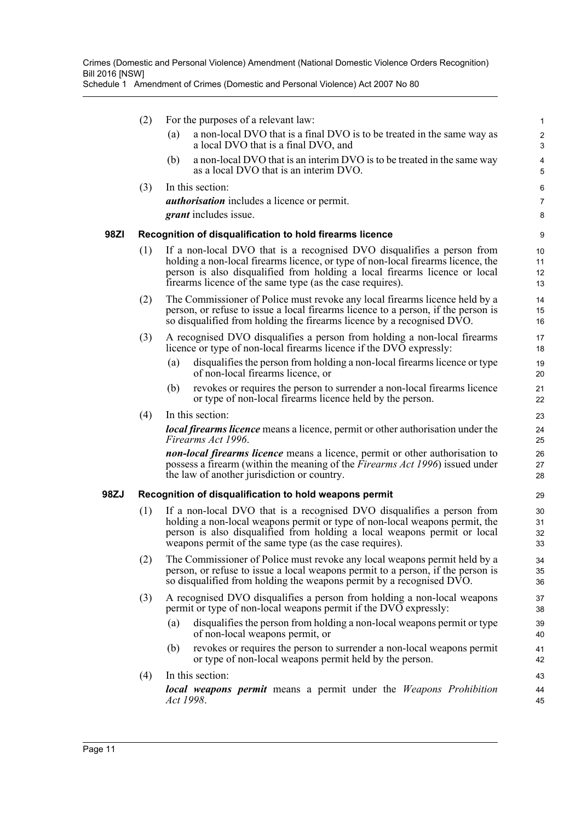|      | (2) |                                                                                                                                                                                                                                                                                                       | For the purposes of a relevant law:                                                                                                                                                                                                                                                          | $\mathbf{1}$                 |  |  |
|------|-----|-------------------------------------------------------------------------------------------------------------------------------------------------------------------------------------------------------------------------------------------------------------------------------------------------------|----------------------------------------------------------------------------------------------------------------------------------------------------------------------------------------------------------------------------------------------------------------------------------------------|------------------------------|--|--|
|      |     | (a)                                                                                                                                                                                                                                                                                                   | a non-local DVO that is a final DVO is to be treated in the same way as<br>a local DVO that is a final DVO, and                                                                                                                                                                              | $\overline{\mathbf{c}}$<br>3 |  |  |
|      |     | (b)                                                                                                                                                                                                                                                                                                   | a non-local DVO that is an interim DVO is to be treated in the same way<br>as a local DVO that is an interim DVO.                                                                                                                                                                            | 4<br>5                       |  |  |
|      | (3) |                                                                                                                                                                                                                                                                                                       | In this section:                                                                                                                                                                                                                                                                             | 6                            |  |  |
|      |     |                                                                                                                                                                                                                                                                                                       | <i>authorisation</i> includes a licence or permit.                                                                                                                                                                                                                                           | $\overline{7}$               |  |  |
|      |     |                                                                                                                                                                                                                                                                                                       | <i>grant</i> includes issue.                                                                                                                                                                                                                                                                 | 8                            |  |  |
| 98ZI |     |                                                                                                                                                                                                                                                                                                       | Recognition of disqualification to hold firearms licence                                                                                                                                                                                                                                     | 9                            |  |  |
|      | (1) | If a non-local DVO that is a recognised DVO disqualifies a person from<br>holding a non-local firearms licence, or type of non-local firearms licence, the<br>person is also disqualified from holding a local firearms licence or local<br>firearms licence of the same type (as the case requires). |                                                                                                                                                                                                                                                                                              |                              |  |  |
|      | (2) |                                                                                                                                                                                                                                                                                                       | The Commissioner of Police must revoke any local firearms licence held by a<br>person, or refuse to issue a local firearms licence to a person, if the person is<br>so disqualified from holding the firearms licence by a recognised DVO.                                                   | 14<br>15<br>16               |  |  |
|      | (3) |                                                                                                                                                                                                                                                                                                       | A recognised DVO disqualifies a person from holding a non-local firearms<br>licence or type of non-local firearms licence if the DVO expressly:                                                                                                                                              | 17<br>18                     |  |  |
|      |     | (a)                                                                                                                                                                                                                                                                                                   | disqualifies the person from holding a non-local firearms licence or type<br>of non-local firearms licence, or                                                                                                                                                                               | 19<br>20                     |  |  |
|      |     | (b)                                                                                                                                                                                                                                                                                                   | revokes or requires the person to surrender a non-local firearms licence<br>or type of non-local firearms licence held by the person.                                                                                                                                                        | 21<br>22                     |  |  |
|      | (4) |                                                                                                                                                                                                                                                                                                       | In this section:                                                                                                                                                                                                                                                                             | 23                           |  |  |
|      |     |                                                                                                                                                                                                                                                                                                       | <b><i>local firearms licence</i></b> means a licence, permit or other authorisation under the<br>Firearms Act 1996.                                                                                                                                                                          | 24<br>25                     |  |  |
|      |     |                                                                                                                                                                                                                                                                                                       | <b>non-local firearms licence</b> means a licence, permit or other authorisation to<br>possess a firearm (within the meaning of the <i>Firearms Act 1996</i> ) issued under<br>the law of another jurisdiction or country.                                                                   | 26<br>27<br>28               |  |  |
| 98ZJ |     |                                                                                                                                                                                                                                                                                                       | Recognition of disqualification to hold weapons permit                                                                                                                                                                                                                                       | 29                           |  |  |
|      | (1) |                                                                                                                                                                                                                                                                                                       | If a non-local DVO that is a recognised DVO disqualifies a person from<br>holding a non-local weapons permit or type of non-local weapons permit, the<br>person is also disqualified from holding a local weapons permit or local<br>weapons permit of the same type (as the case requires). | 30<br>31<br>32<br>33         |  |  |
|      | (2) |                                                                                                                                                                                                                                                                                                       | The Commissioner of Police must revoke any local weapons permit held by a<br>person, or refuse to issue a local weapons permit to a person, if the person is<br>so disqualified from holding the weapons permit by a recognised DVO.                                                         | 34<br>35<br>36               |  |  |
|      | (3) |                                                                                                                                                                                                                                                                                                       | A recognised DVO disqualifies a person from holding a non-local weapons<br>permit or type of non-local weapons permit if the DVO expressly:                                                                                                                                                  | 37<br>38                     |  |  |
|      |     | (a)                                                                                                                                                                                                                                                                                                   | disqualifies the person from holding a non-local weapons permit or type<br>of non-local weapons permit, or                                                                                                                                                                                   | 39<br>40                     |  |  |
|      |     | (b)                                                                                                                                                                                                                                                                                                   | revokes or requires the person to surrender a non-local weapons permit<br>or type of non-local weapons permit held by the person.                                                                                                                                                            | 41<br>42                     |  |  |
|      | (4) |                                                                                                                                                                                                                                                                                                       | In this section:                                                                                                                                                                                                                                                                             | 43                           |  |  |
|      |     | Act 1998.                                                                                                                                                                                                                                                                                             | local weapons permit means a permit under the Weapons Prohibition                                                                                                                                                                                                                            | 44<br>45                     |  |  |
|      |     |                                                                                                                                                                                                                                                                                                       |                                                                                                                                                                                                                                                                                              |                              |  |  |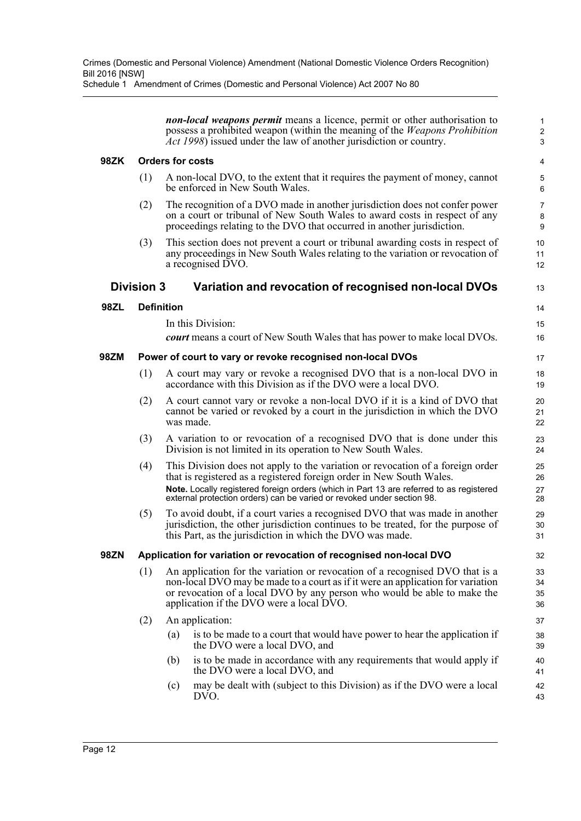*non-local weapons permit* means a licence, permit or other authorisation to possess a prohibited weapon (within the meaning of the *Weapons Prohibition Act 1998*) issued under the law of another jurisdiction or country.

13

 $14$ 15 16

#### **98ZK Orders for costs**

- (1) A non-local DVO, to the extent that it requires the payment of money, cannot be enforced in New South Wales.
- (2) The recognition of a DVO made in another jurisdiction does not confer power on a court or tribunal of New South Wales to award costs in respect of any proceedings relating to the DVO that occurred in another jurisdiction.
- (3) This section does not prevent a court or tribunal awarding costs in respect of any proceedings in New South Wales relating to the variation or revocation of a recognised DVO.

### **Division 3 Variation and revocation of recognised non-local DVOs**

#### **98ZL Definition**

In this Division:

*court* means a court of New South Wales that has power to make local DVOs.

#### **98ZM Power of court to vary or revoke recognised non-local DVOs**

- (1) A court may vary or revoke a recognised DVO that is a non-local DVO in accordance with this Division as if the DVO were a local DVO.
- (2) A court cannot vary or revoke a non-local DVO if it is a kind of DVO that cannot be varied or revoked by a court in the jurisdiction in which the DVO was made.
- (3) A variation to or revocation of a recognised DVO that is done under this Division is not limited in its operation to New South Wales.
- (4) This Division does not apply to the variation or revocation of a foreign order that is registered as a registered foreign order in New South Wales. **Note.** Locally registered foreign orders (which in Part 13 are referred to as registered external protection orders) can be varied or revoked under section 98.
- (5) To avoid doubt, if a court varies a recognised DVO that was made in another jurisdiction, the other jurisdiction continues to be treated, for the purpose of this Part, as the jurisdiction in which the DVO was made.

#### **98ZN Application for variation or revocation of recognised non-local DVO**

- (1) An application for the variation or revocation of a recognised DVO that is a non-local DVO may be made to a court as if it were an application for variation or revocation of a local DVO by any person who would be able to make the application if the DVO were a local DVO.
- (2) An application:
	- (a) is to be made to a court that would have power to hear the application if the DVO were a local DVO, and
	- (b) is to be made in accordance with any requirements that would apply if the DVO were a local DVO, and
	- (c) may be dealt with (subject to this Division) as if the DVO were a local DVO.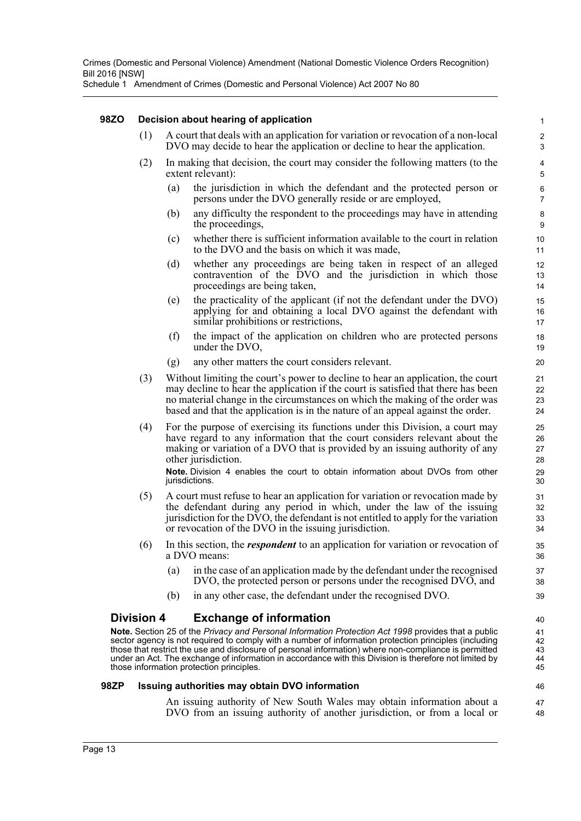Schedule 1 Amendment of Crimes (Domestic and Personal Violence) Act 2007 No 80

#### **98ZO Decision about hearing of application**

- (1) A court that deals with an application for variation or revocation of a non-local DVO may decide to hear the application or decline to hear the application.
- (2) In making that decision, the court may consider the following matters (to the extent relevant):
	- (a) the jurisdiction in which the defendant and the protected person or persons under the DVO generally reside or are employed,

- (b) any difficulty the respondent to the proceedings may have in attending the proceedings,
- (c) whether there is sufficient information available to the court in relation to the DVO and the basis on which it was made,
- (d) whether any proceedings are being taken in respect of an alleged contravention of the DVO and the jurisdiction in which those proceedings are being taken,
- (e) the practicality of the applicant (if not the defendant under the DVO) applying for and obtaining a local DVO against the defendant with similar prohibitions or restrictions,
- (f) the impact of the application on children who are protected persons under the DVO,
- (g) any other matters the court considers relevant.
- (3) Without limiting the court's power to decline to hear an application, the court may decline to hear the application if the court is satisfied that there has been no material change in the circumstances on which the making of the order was based and that the application is in the nature of an appeal against the order.
- (4) For the purpose of exercising its functions under this Division, a court may have regard to any information that the court considers relevant about the making or variation of a DVO that is provided by an issuing authority of any other jurisdiction.

**Note.** Division 4 enables the court to obtain information about DVOs from other jurisdictions.

- (5) A court must refuse to hear an application for variation or revocation made by the defendant during any period in which, under the law of the issuing jurisdiction for the DVO, the defendant is not entitled to apply for the variation or revocation of the DVO in the issuing jurisdiction.
- (6) In this section, the *respondent* to an application for variation or revocation of a DVO means:
	- (a) in the case of an application made by the defendant under the recognised DVO, the protected person or persons under the recognised DVO, and
	- (b) in any other case, the defendant under the recognised DVO.

#### **Division 4 Exchange of information**

**Note.** Section 25 of the *Privacy and Personal Information Protection Act 1998* provides that a public sector agency is not required to comply with a number of information protection principles (including those that restrict the use and disclosure of personal information) where non-compliance is permitted under an Act. The exchange of information in accordance with this Division is therefore not limited by those information protection principles.

#### **98ZP Issuing authorities may obtain DVO information**

An issuing authority of New South Wales may obtain information about a DVO from an issuing authority of another jurisdiction, or from a local or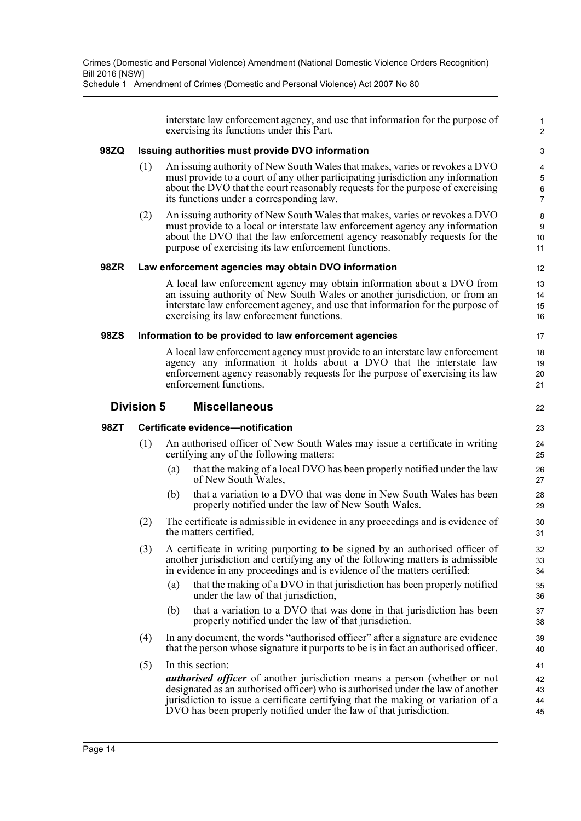interstate law enforcement agency, and use that information for the purpose of exercising its functions under this Part.

1 2

44

#### **98ZQ Issuing authorities must provide DVO information**

- (1) An issuing authority of New South Wales that makes, varies or revokes a DVO must provide to a court of any other participating jurisdiction any information about the DVO that the court reasonably requests for the purpose of exercising its functions under a corresponding law.
- (2) An issuing authority of New South Wales that makes, varies or revokes a DVO must provide to a local or interstate law enforcement agency any information about the DVO that the law enforcement agency reasonably requests for the purpose of exercising its law enforcement functions.

#### **98ZR Law enforcement agencies may obtain DVO information**

A local law enforcement agency may obtain information about a DVO from an issuing authority of New South Wales or another jurisdiction, or from an interstate law enforcement agency, and use that information for the purpose of exercising its law enforcement functions.

#### **98ZS Information to be provided to law enforcement agencies**

A local law enforcement agency must provide to an interstate law enforcement agency any information it holds about a DVO that the interstate law enforcement agency reasonably requests for the purpose of exercising its law enforcement functions.

#### **Division 5 Miscellaneous**

#### **98ZT Certificate evidence—notification**

- (1) An authorised officer of New South Wales may issue a certificate in writing certifying any of the following matters:
	- (a) that the making of a local DVO has been properly notified under the law of New South Wales,
	- (b) that a variation to a DVO that was done in New South Wales has been properly notified under the law of New South Wales.
- (2) The certificate is admissible in evidence in any proceedings and is evidence of the matters certified.
- (3) A certificate in writing purporting to be signed by an authorised officer of another jurisdiction and certifying any of the following matters is admissible in evidence in any proceedings and is evidence of the matters certified:
	- (a) that the making of a DVO in that jurisdiction has been properly notified under the law of that jurisdiction,
	- (b) that a variation to a DVO that was done in that jurisdiction has been properly notified under the law of that jurisdiction.
- (4) In any document, the words "authorised officer" after a signature are evidence that the person whose signature it purports to be is in fact an authorised officer.
- (5) In this section: *authorised officer* of another jurisdiction means a person (whether or not designated as an authorised officer) who is authorised under the law of another jurisdiction to issue a certificate certifying that the making or variation of a DVO has been properly notified under the law of that jurisdiction. 41 42 43 45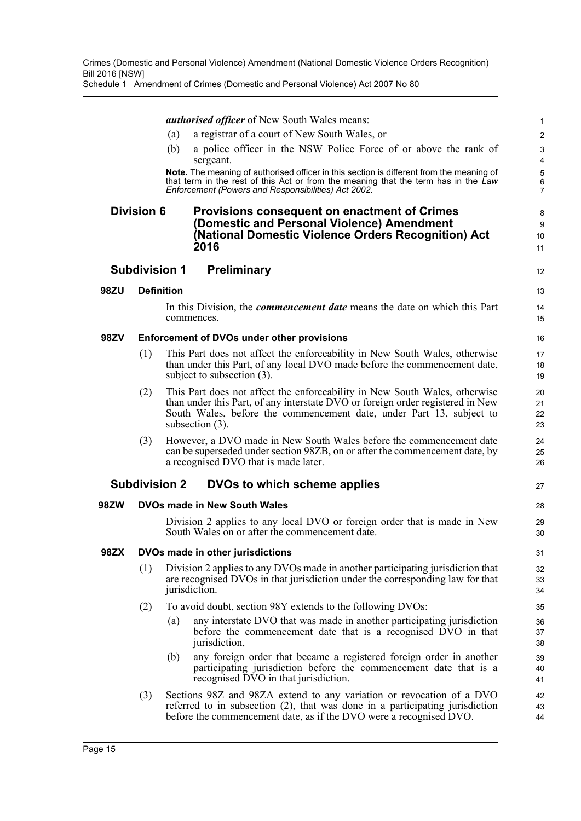*authorised officer* of New South Wales means:

- (a) a registrar of a court of New South Wales, or
- (b) a police officer in the NSW Police Force of or above the rank of sergeant.

12

13  $14$ 15

27

**Note.** The meaning of authorised officer in this section is different from the meaning of that term in the rest of this Act or from the meaning that the term has in the *Law Enforcement (Powers and Responsibilities) Act 2002*.

#### **Division 6 Provisions consequent on enactment of Crimes (Domestic and Personal Violence) Amendment (National Domestic Violence Orders Recognition) Act 2016**

#### **Subdivision 1 Preliminary**

#### **98ZU Definition**

In this Division, the *commencement date* means the date on which this Part commences.

#### **98ZV Enforcement of DVOs under other provisions**

- (1) This Part does not affect the enforceability in New South Wales, otherwise than under this Part, of any local DVO made before the commencement date, subject to subsection (3).
- (2) This Part does not affect the enforceability in New South Wales, otherwise than under this Part, of any interstate DVO or foreign order registered in New South Wales, before the commencement date, under Part 13, subject to subsection (3).
- (3) However, a DVO made in New South Wales before the commencement date can be superseded under section 98ZB, on or after the commencement date, by a recognised DVO that is made later.

#### **Subdivision 2 DVOs to which scheme applies**

#### **98ZW DVOs made in New South Wales**

Division 2 applies to any local DVO or foreign order that is made in New South Wales on or after the commencement date.

#### **98ZX DVOs made in other jurisdictions**

- (1) Division 2 applies to any DVOs made in another participating jurisdiction that are recognised DVOs in that jurisdiction under the corresponding law for that jurisdiction.
- (2) To avoid doubt, section 98Y extends to the following DVOs:
	- (a) any interstate DVO that was made in another participating jurisdiction before the commencement date that is a recognised DVO in that jurisdiction,
	- (b) any foreign order that became a registered foreign order in another participating jurisdiction before the commencement date that is a recognised DVO in that jurisdiction.
- (3) Sections 98Z and 98ZA extend to any variation or revocation of a DVO referred to in subsection (2), that was done in a participating jurisdiction before the commencement date, as if the DVO were a recognised DVO.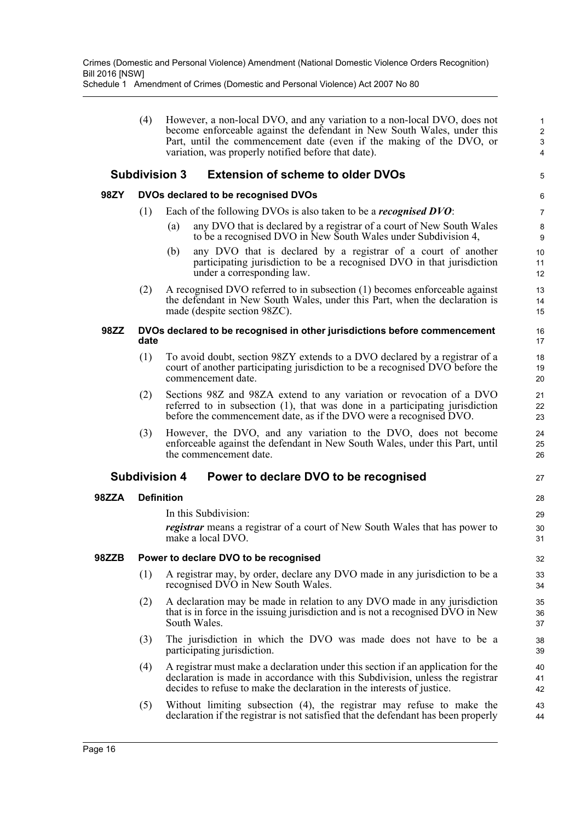(4) However, a non-local DVO, and any variation to a non-local DVO, does not become enforceable against the defendant in New South Wales, under this Part, until the commencement date (even if the making of the DVO, or variation, was properly notified before that date).

5

27

### **Subdivision 3 Extension of scheme to older DVOs**

#### **98ZY DVOs declared to be recognised DVOs**

- (1) Each of the following DVOs is also taken to be a *recognised DVO*:
	- (a) any DVO that is declared by a registrar of a court of New South Wales to be a recognised DVO in New South Wales under Subdivision 4,
	- (b) any DVO that is declared by a registrar of a court of another participating jurisdiction to be a recognised DVO in that jurisdiction under a corresponding law.
- (2) A recognised DVO referred to in subsection (1) becomes enforceable against the defendant in New South Wales, under this Part, when the declaration is made (despite section 98ZC).

#### **98ZZ DVOs declared to be recognised in other jurisdictions before commencement date**

- (1) To avoid doubt, section 98ZY extends to a DVO declared by a registrar of a court of another participating jurisdiction to be a recognised DVO before the commencement date.
- (2) Sections 98Z and 98ZA extend to any variation or revocation of a DVO referred to in subsection (1), that was done in a participating jurisdiction before the commencement date, as if the DVO were a recognised DVO.
- (3) However, the DVO, and any variation to the DVO, does not become enforceable against the defendant in New South Wales, under this Part, until the commencement date.

#### **Subdivision 4 Power to declare DVO to be recognised**

#### **98ZZA Definition**

In this Subdivision:

*registrar* means a registrar of a court of New South Wales that has power to make a local DVO.

#### **98ZZB Power to declare DVO to be recognised**

- (1) A registrar may, by order, declare any DVO made in any jurisdiction to be a recognised DVO in New South Wales.
- (2) A declaration may be made in relation to any DVO made in any jurisdiction that is in force in the issuing jurisdiction and is not a recognised DVO in New South Wales.
- (3) The jurisdiction in which the DVO was made does not have to be a participating jurisdiction.
- (4) A registrar must make a declaration under this section if an application for the declaration is made in accordance with this Subdivision, unless the registrar decides to refuse to make the declaration in the interests of justice.
- (5) Without limiting subsection (4), the registrar may refuse to make the declaration if the registrar is not satisfied that the defendant has been properly 43 44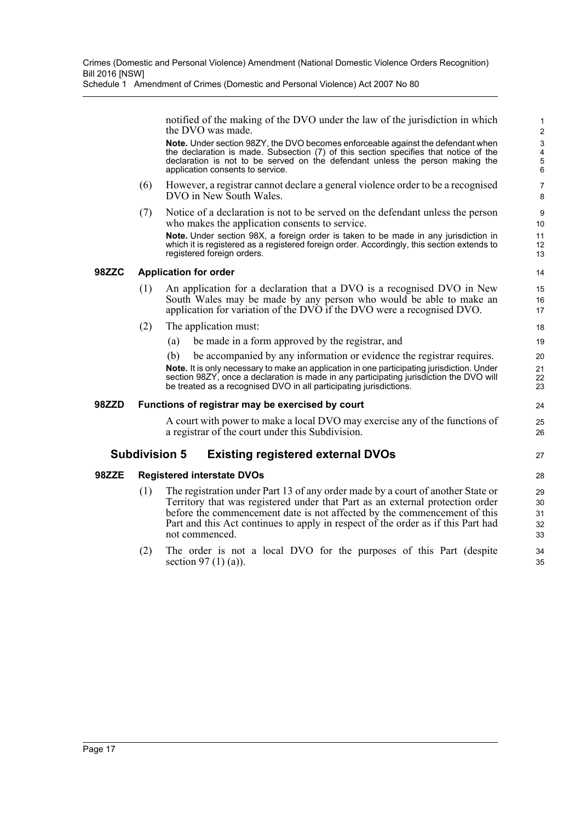notified of the making of the DVO under the law of the jurisdiction in which the DVO was made.

24 25 26

27

**Note.** Under section 98ZY, the DVO becomes enforceable against the defendant when the declaration is made. Subsection (7) of this section specifies that notice of the declaration is not to be served on the defendant unless the person making the application consents to service.

- (6) However, a registrar cannot declare a general violence order to be a recognised DVO in New South Wales.
- (7) Notice of a declaration is not to be served on the defendant unless the person who makes the application consents to service.

**Note.** Under section 98X, a foreign order is taken to be made in any jurisdiction in which it is registered as a registered foreign order. Accordingly, this section extends to registered foreign orders.

#### **98ZZC Application for order**

- (1) An application for a declaration that a DVO is a recognised DVO in New South Wales may be made by any person who would be able to make an application for variation of the DVO if the DVO were a recognised DVO.
- (2) The application must:
	- (a) be made in a form approved by the registrar, and

(b) be accompanied by any information or evidence the registrar requires. **Note.** It is only necessary to make an application in one participating jurisdiction. Under section 98ZY, once a declaration is made in any participating jurisdiction the DVO will be treated as a recognised DVO in all participating jurisdictions.

#### **98ZZD Functions of registrar may be exercised by court**

A court with power to make a local DVO may exercise any of the functions of a registrar of the court under this Subdivision.

#### **Subdivision 5 Existing registered external DVOs**

#### **98ZZE Registered interstate DVOs**

- (1) The registration under Part 13 of any order made by a court of another State or Territory that was registered under that Part as an external protection order before the commencement date is not affected by the commencement of this Part and this Act continues to apply in respect of the order as if this Part had not commenced.
- (2) The order is not a local DVO for the purposes of this Part (despite section 97 (1) (a)).